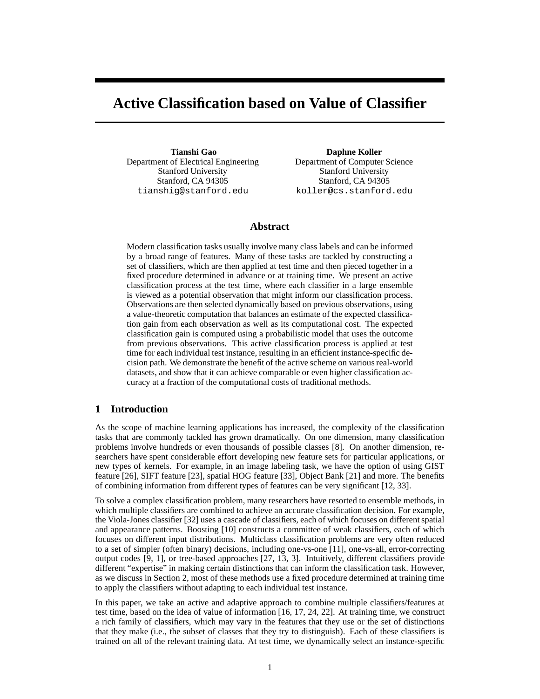# **Active Classification based on Value of Classifier**

**Tianshi Gao** Department of Electrical Engineering Stanford University Stanford, CA 94305 tianshig@stanford.edu

**Daphne Koller** Department of Computer Science Stanford University Stanford, CA 94305 koller@cs.stanford.edu

## **Abstract**

Modern classification tasks usually involve many class labels and can be informed by a broad range of features. Many of these tasks are tackled by constructing a set of classifiers, which are then applied at test time and then pieced together in a fixed procedure determined in advance or at training time. We present an active classification process at the test time, where each classifier in a large ensemble is viewed as a potential observation that might inform our classification process. Observations are then selected dynamically based on previous observations, using a value-theoretic computation that balances an estimate of the expected classification gain from each observation as well as its computational cost. The expected classification gain is computed using a probabilistic model that uses the outcome from previous observations. This active classification process is applied at test time for each individual test instance, resulting in an efficient instance-specific decision path. We demonstrate the benefit of the active scheme on various real-world datasets, and show that it can achieve comparable or even higher classification accuracy at a fraction of the computational costs of traditional methods.

## **1 Introduction**

As the scope of machine learning applications has increased, the complexity of the classification tasks that are commonly tackled has grown dramatically. On one dimension, many classification problems involve hundreds or even thousands of possible classes [8]. On another dimension, researchers have spent considerable effort developing new feature sets for particular applications, or new types of kernels. For example, in an image labeling task, we have the option of using GIST feature [26], SIFT feature [23], spatial HOG feature [33], Object Bank [21] and more. The benefits of combining information from different types of features can be very significant [12, 33].

To solve a complex classification problem, many researchers have resorted to ensemble methods, in which multiple classifiers are combined to achieve an accurate classification decision. For example, the Viola-Jones classifier [32] uses a cascade of classifiers, each of which focuses on different spatial and appearance patterns. Boosting [10] constructs a committee of weak classifiers, each of which focuses on different input distributions. Multiclass classification problems are very often reduced to a set of simpler (often binary) decisions, including one-vs-one [11], one-vs-all, error-correcting output codes [9, 1], or tree-based approaches [27, 13, 3]. Intuitively, different classifiers provide different "expertise" in making certain distinctions that can inform the classification task. However, as we discuss in Section 2, most of these methods use a fixed procedure determined at training time to apply the classifiers without adapting to each individual test instance.

In this paper, we take an active and adaptive approach to combine multiple classifiers/features at test time, based on the idea of value of information [16, 17, 24, 22]. At training time, we construct a rich family of classifiers, which may vary in the features that they use or the set of distinctions that they make (i.e., the subset of classes that they try to distinguish). Each of these classifiers is trained on all of the relevant training data. At test time, we dynamically select an instance-specific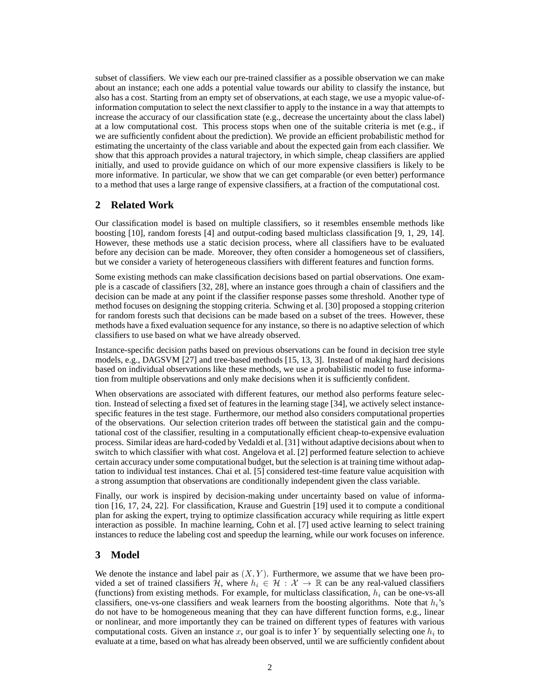subset of classifiers. We view each our pre-trained classifier as a possible observation we can make about an instance; each one adds a potential value towards our ability to classify the instance, but also has a cost. Starting from an empty set of observations, at each stage, we use a myopic value-ofinformation computation to select the next classifier to apply to the instance in a way that attempts to increase the accuracy of our classification state (e.g., decrease the uncertainty about the class label) at a low computational cost. This process stops when one of the suitable criteria is met (e.g., if we are sufficiently confident about the prediction). We provide an efficient probabilistic method for estimating the uncertainty of the class variable and about the expected gain from each classifier. We show that this approach provides a natural trajectory, in which simple, cheap classifiers are applied initially, and used to provide guidance on which of our more expensive classifiers is likely to be more informative. In particular, we show that we can get comparable (or even better) performance to a method that uses a large range of expensive classifiers, at a fraction of the computational cost.

## **2 Related Work**

Our classification model is based on multiple classifiers, so it resembles ensemble methods like boosting [10], random forests [4] and output-coding based multiclass classification [9, 1, 29, 14]. However, these methods use a static decision process, where all classifiers have to be evaluated before any decision can be made. Moreover, they often consider a homogeneous set of classifiers, but we consider a variety of heterogeneous classifiers with different features and function forms.

Some existing methods can make classification decisions based on partial observations. One example is a cascade of classifiers [32, 28], where an instance goes through a chain of classifiers and the decision can be made at any point if the classifier response passes some threshold. Another type of method focuses on designing the stopping criteria. Schwing et al. [30] proposed a stopping criterion for random forests such that decisions can be made based on a subset of the trees. However, these methods have a fixed evaluation sequence for any instance, so there is no adaptive selection of which classifiers to use based on what we have already observed.

Instance-specific decision paths based on previous observations can be found in decision tree style models, e.g., DAGSVM [27] and tree-based methods [15, 13, 3]. Instead of making hard decisions based on individual observations like these methods, we use a probabilistic model to fuse information from multiple observations and only make decisions when it is sufficiently confident.

When observations are associated with different features, our method also performs feature selection. Instead of selecting a fixed set of features in the learning stage [34], we actively select instancespecific features in the test stage. Furthermore, our method also considers computational properties of the observations. Our selection criterion trades off between the statistical gain and the computational cost of the classifier, resulting in a computationally efficient cheap-to-expensive evaluation process. Similar ideas are hard-coded by Vedaldi et al. [31] without adaptive decisions about when to switch to which classifier with what cost. Angelova et al. [2] performed feature selection to achieve certain accuracy under some computational budget, but the selection is at training time without adaptation to individual test instances. Chai et al. [5] considered test-time feature value acquisition with a strong assumption that observations are conditionally independent given the class variable.

Finally, our work is inspired by decision-making under uncertainty based on value of information [16, 17, 24, 22]. For classification, Krause and Guestrin [19] used it to compute a conditional plan for asking the expert, trying to optimize classification accuracy while requiring as little expert interaction as possible. In machine learning, Cohn et al. [7] used active learning to select training instances to reduce the labeling cost and speedup the learning, while our work focuses on inference.

# **3 Model**

We denote the instance and label pair as  $(X, Y)$ . Furthermore, we assume that we have been provided a set of trained classifiers H, where  $h_i \in \mathcal{H} : \mathcal{X} \to \mathbb{R}$  can be any real-valued classifiers (functions) from existing methods. For example, for multiclass classification,  $h_i$  can be one-vs-all classifiers, one-vs-one classifiers and weak learners from the boosting algorithms. Note that  $h_i$ 's do not have to be homogeneous meaning that they can have different function forms, e.g., linear or nonlinear, and more importantly they can be trained on different types of features with various computational costs. Given an instance x, our goal is to infer Y by sequentially selecting one  $h_i$  to evaluate at a time, based on what has already been observed, until we are sufficiently confident about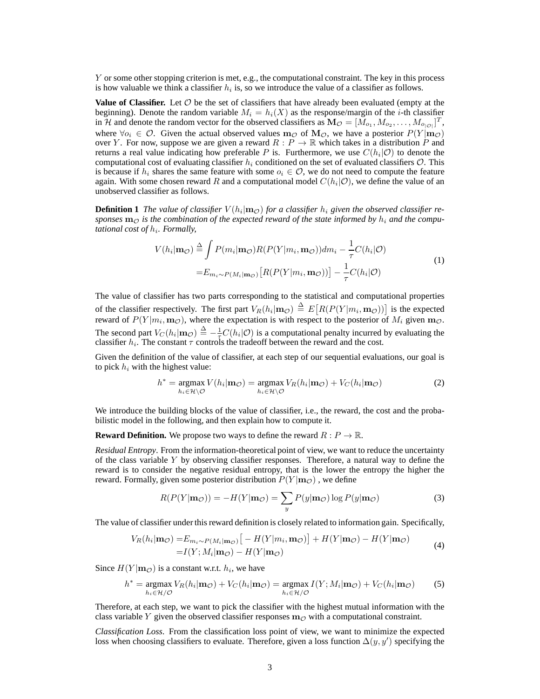Y or some other stopping criterion is met, e.g., the computational constraint. The key in this process is how valuable we think a classifier  $h_i$  is, so we introduce the value of a classifier as follows.

**Value of Classifier.** Let  $\mathcal O$  be the set of classifiers that have already been evaluated (empty at the beginning). Denote the random variable  $M_i = h_i(X)$  as the response/margin of the *i*-th classifier in H and denote the random vector for the observed classifiers as  $\mathbf{M}_{\mathcal{O}} = [\tilde{M}_{o_1}, M_{o_2}, \dots, M_{o_{|\mathcal{O}|}}]^T$ , where  $\forall o_i \in \mathcal{O}$ . Given the actual observed values  $m_{\mathcal{O}}$  of  $M_{\mathcal{O}}$ , we have a posterior  $P(Y|m_{\mathcal{O}})$ over Y. For now, suppose we are given a reward  $R: P \to \mathbb{R}$  which takes in a distribution P and returns a real value indicating how preferable P is. Furthermore, we use  $C(h_i|O)$  to denote the computational cost of evaluating classifier  $h_i$  conditioned on the set of evaluated classifiers  $\mathcal{O}$ . This is because if  $h_i$  shares the same feature with some  $o_i \in \mathcal{O}$ , we do not need to compute the feature again. With some chosen reward R and a computational model  $C(h_i|O)$ , we define the value of an unobserved classifier as follows.

**Definition 1** The value of classifier  $V(h_i|_{\mathbf{m}_\mathcal{O}})$  for a classifier  $h_i$  given the observed classifier responses  $\mathbf{m}_{\mathcal{O}}$  is the combination of the expected reward of the state informed by  $h_i$  and the compu*tational cost of h<sub>i</sub>. Formally,* 

$$
V(h_i|\mathbf{m}_{\mathcal{O}}) \stackrel{\Delta}{=} \int P(m_i|\mathbf{m}_{\mathcal{O}})R(P(Y|m_i, \mathbf{m}_{\mathcal{O}}))dm_i - \frac{1}{\tau}C(h_i|\mathcal{O})
$$
  

$$
= E_{m_i \sim P(M_i|\mathbf{m}_{\mathcal{O}})}[R(P(Y|m_i, \mathbf{m}_{\mathcal{O}}))] - \frac{1}{\tau}C(h_i|\mathcal{O})
$$
 (1)

The value of classifier has two parts corresponding to the statistical and computational properties of the classifier respectively. The first part  $V_R(h_i | \mathbf{m}_{\mathcal{O}}) \triangleq E[R(P(Y|m_i, \mathbf{m}_{\mathcal{O}}))]$  is the expected reward of  $P(Y|m_i, \mathbf{m}_{\mathcal{O}})$ , where the expectation is with respect to the posterior of  $M_i$  given  $\mathbf{m}_{\mathcal{O}}$ . The second part  $V_C(h_i | \mathbf{m}_\mathcal{O}) \triangleq -\frac{1}{\tau} C(h_i | \mathcal{O})$  is a computational penalty incurred by evaluating the classifier  $h_i$ . The constant  $\tau$  controls the tradeoff between the reward and the cost.

Given the definition of the value of classifier, at each step of our sequential evaluations, our goal is to pick  $h_i$  with the highest value:

$$
h^* = \underset{h_i \in \mathcal{H} \setminus \mathcal{O}}{\operatorname{argmax}} V(h_i | \mathbf{m}_{\mathcal{O}}) = \underset{h_i \in \mathcal{H} \setminus \mathcal{O}}{\operatorname{argmax}} V_R(h_i | \mathbf{m}_{\mathcal{O}}) + V_C(h_i | \mathbf{m}_{\mathcal{O}})
$$
(2)

We introduce the building blocks of the value of classifier, i.e., the reward, the cost and the probabilistic model in the following, and then explain how to compute it.

**Reward Definition.** We propose two ways to define the reward  $R : P \to \mathbb{R}$ .

*Residual Entropy*. From the information-theoretical point of view, we want to reduce the uncertainty of the class variable  $Y$  by observing classifier responses. Therefore, a natural way to define the reward is to consider the negative residual entropy, that is the lower the entropy the higher the reward. Formally, given some posterior distribution  $P(Y | m_{\mathcal{O}})$ , we define

$$
R(P(Y|\mathbf{m}_{\mathcal{O}})) = -H(Y|\mathbf{m}_{\mathcal{O}}) = \sum_{y} P(y|\mathbf{m}_{\mathcal{O}}) \log P(y|\mathbf{m}_{\mathcal{O}})
$$
(3)

The value of classifier under this reward definition is closely related to information gain. Specifically,

$$
V_R(h_i|\mathbf{m}_{\mathcal{O}}) = E_{m_i \sim P(M_i|\mathbf{m}_{\mathcal{O}})}[-H(Y|m_i, \mathbf{m}_{\mathcal{O}})] + H(Y|\mathbf{m}_{\mathcal{O}}) - H(Y|\mathbf{m}_{\mathcal{O}})
$$
  
=  $I(Y; M_i|\mathbf{m}_{\mathcal{O}}) - H(Y|\mathbf{m}_{\mathcal{O}})$  (4)

Since  $H(Y | m_{\mathcal{O}})$  is a constant w.r.t.  $h_i$ , we have

$$
h^* = \underset{h_i \in \mathcal{H}/\mathcal{O}}{\text{argmax}} \ V_R(h_i | \mathbf{m}_{\mathcal{O}}) + V_C(h_i | \mathbf{m}_{\mathcal{O}}) = \underset{h_i \in \mathcal{H}/\mathcal{O}}{\text{argmax}} \ I(Y; M_i | \mathbf{m}_{\mathcal{O}}) + V_C(h_i | \mathbf{m}_{\mathcal{O}}) \tag{5}
$$

Therefore, at each step, we want to pick the classifier with the highest mutual information with the class variable Y given the observed classifier responses  $m<sub>o</sub>$  with a computational constraint.

*Classification Loss*. From the classification loss point of view, we want to minimize the expected loss when choosing classifiers to evaluate. Therefore, given a loss function  $\Delta(y, y')$  specifying the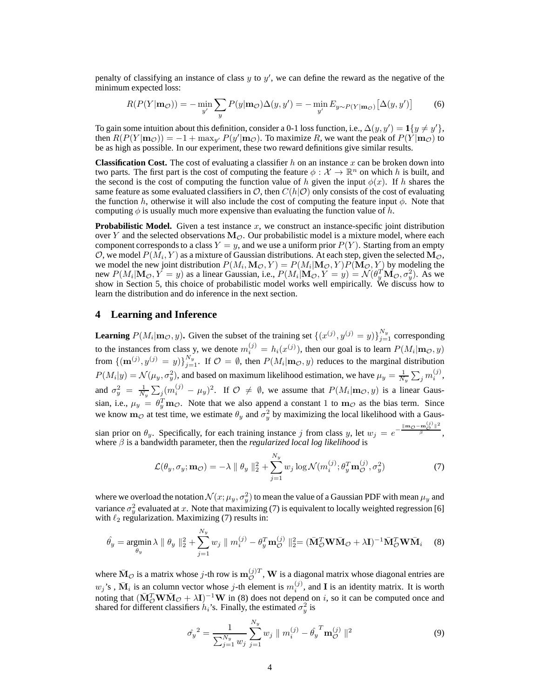penalty of classifying an instance of class  $y$  to  $y'$ , we can define the reward as the negative of the minimum expected loss:

$$
R(P(Y|\mathbf{m}_{\mathcal{O}})) = -\min_{y'} \sum_{y} P(y|\mathbf{m}_{\mathcal{O}}) \Delta(y, y') = -\min_{y'} E_{y \sim P(Y|\mathbf{m}_{\mathcal{O}})} [\Delta(y, y')]
$$
(6)

To gain some intuition about this definition, consider a 0-1 loss function, i.e.,  $\Delta(y, y') = \mathbf{1}{y \neq y'}$ , then  $R(P(Y | m_{\mathcal{O}})) = -1 + \max_{y'} P(y' | m_{\mathcal{O}})$ . To maximize R, we want the peak of  $P(Y | m_{\mathcal{O}})$  to be as high as possible. In our experiment, these two reward definitions give similar results.

**Classification Cost.** The cost of evaluating a classifier h on an instance x can be broken down into two parts. The first part is the cost of computing the feature  $\phi : \mathcal{X} \to \mathbb{R}^n$  on which h is built, and the second is the cost of computing the function value of h given the input  $\phi(x)$ . If h shares the same feature as some evaluated classifiers in  $\mathcal{O}$ , then  $C(h|\mathcal{O})$  only consists of the cost of evaluating the function h, otherwise it will also include the cost of computing the feature input  $\phi$ . Note that computing  $\phi$  is usually much more expensive than evaluating the function value of h.

**Probabilistic Model.** Given a test instance  $x$ , we construct an instance-specific joint distribution over Y and the selected observations  $M_{\mathcal{O}}$ . Our probabilistic model is a mixture model, where each component corresponds to a class  $Y = y$ , and we use a uniform prior  $P(Y)$ . Starting from an empty O, we model  $P(\tilde{M}_i, Y)$  as a mixture of Gaussian distributions. At each step, given the selected  $\tilde{M_{\mathcal{O}}}$ , we model the new joint distribution  $P(M_i, \mathbf{M}_{\mathcal{O}}, Y) = P(M_i | \mathbf{M}_{\mathcal{O}}, Y) P(\mathbf{M}_{\mathcal{O}}, Y)$  by modeling the new  $P(M_i|M_{\mathcal{O}}, Y = y)$  as a linear Gaussian, i.e.,  $P(M_i|M_{\mathcal{O}}, Y = y) = \mathcal{N}(\theta_y^T \mathbf{M}_{\mathcal{O}}, \sigma_y^2)$ . As we show in Section 5, this choice of probabilistic model works well empirically. We discuss how to learn the distribution and do inference in the next section.

#### **4 Learning and Inference**

**Learning**  $P(M_i | \mathbf{m}_{\mathcal{O}}, y)$ . Given the subset of the training set  $\{(x^{(j)}, y^{(j)} = y)\}_{j=1}^{N_y}$  corresponding to the instances from class y, we denote  $m_i^{(j)} = h_i(x^{(j)})$ , then our goal is to learn  $P(M_i | \mathbf{m}_{\mathcal{O}}, y)$ from  $\{(\mathbf{m}^{(j)}, y^{(j)} = y)\}_{j=1}^{N_y}$ . If  $\mathcal{O} = \emptyset$ , then  $P(M_i | \mathbf{m}_{\mathcal{O}}, y)$  reduces to the marginal distribution  $P(M_i|y) = \mathcal{N}(\mu_y, \sigma_y^2)$ , and based on maximum likelihood estimation, we have  $\mu_y = \frac{1}{N_y} \sum_j m_i^{(j)}$ , and  $\sigma_y^2 = \frac{1}{N_y} \sum_j (m_i^{(j)} - \mu_y)^2$ . If  $\mathcal{O} \neq \emptyset$ , we assume that  $P(M_i | \mathbf{m}_{\mathcal{O}}, y)$  is a linear Gaussian, i.e.,  $\mu_y = \theta_y^T \mathbf{m}_{\mathcal{O}}$ . Note that we also append a constant 1 to  $\mathbf{m}_{\mathcal{O}}$  as the bias term. Since we know  $m_{\mathcal{O}}$  at test time, we estimate  $\theta_y$  and  $\sigma_y^2$  by maximizing the local likelihood with a Gaussian prior on  $\theta_y$ . Specifically, for each training instance j from class y, let  $w_j = e^{-\frac{|\text{Im}\phi - \text{m}_Q^{(j)}|^2}{\beta}}$ , where  $\beta$  is a bandwidth parameter, then the *regularized local log likelihood* is

$$
\mathcal{L}(\theta_y, \sigma_y; \mathbf{m}_{\mathcal{O}}) = -\lambda \|\theta_y\|_2^2 + \sum_{j=1}^{N_y} w_j \log \mathcal{N}(m_i^{(j)}; \theta_y^T \mathbf{m}_{\mathcal{O}}^{(j)}, \sigma_y^2)
$$
(7)

where we overload the notation  $\mathcal{N}(x; \mu_y, \sigma_y^2)$  to mean the value of a Gaussian PDF with mean  $\mu_y$  and variance  $\sigma_y^2$  evaluated at x. Note that maximizing (7) is equivalent to locally weighted regression [6] with  $\ell_2$  regularization. Maximizing (7) results in:

$$
\hat{\theta}_y = \underset{\theta_y}{\text{argmin}} \lambda \parallel \theta_y \parallel_2^2 + \sum_{j=1}^{N_y} w_j \parallel m_i^{(j)} - \theta_y^T \mathbf{m}_{\mathcal{O}}^{(j)} \parallel_2^2 = (\bar{\mathbf{M}}_{\mathcal{O}}^T \mathbf{W} \bar{\mathbf{M}}_{\mathcal{O}} + \lambda \mathbf{I})^{-1} \bar{\mathbf{M}}_{\mathcal{O}}^T \mathbf{W} \bar{\mathbf{M}}_i \tag{8}
$$

where  $\bar{M}_{\cal{O}}$  is a matrix whose j-th row is  $m_{\cal{O}}^{(j)T}$ , W is a diagonal matrix whose diagonal entries are  $w_j$ 's,  $\bar{M}_i$  is an column vector whose j-th element is  $m_i^{(j)}$  $i^{(j)}$ , and **I** is an identity matrix. It is worth noting that  $(\bar{M}_{\mathcal{O}}^T W \bar{M}_{\mathcal{O}} + \lambda I)^{-1} W$  in (8) does not depend on i, so it can be computed once and shared for different classifiers  $h_i$ 's. Finally, the estimated  $\sigma_y^2$  is

$$
\hat{\sigma_y}^2 = \frac{1}{\sum_{j=1}^{N_y} w_j} \sum_{j=1}^{N_y} w_j \parallel m_i^{(j)} - \hat{\theta_y}^T \mathbf{m}_{\mathcal{O}}^{(j)} \parallel^2
$$
\n(9)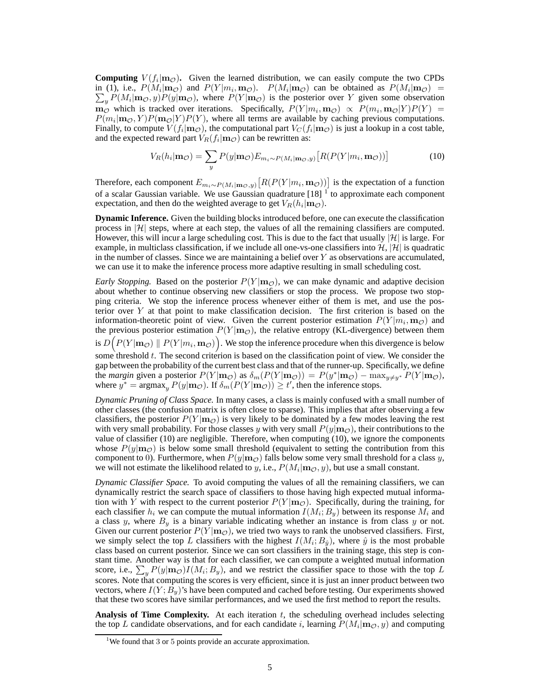**Computing**  $V(f_i | \mathbf{m}_\mathcal{O})$ . Given the learned distribution, we can easily compute the two CPDs in (1), i.e.,  $P(M_i | m_\mathcal{O})$  and  $P(Y | m_i, m_\mathcal{O})$ .  $P(M_i | m_\mathcal{O})$  can be obtained as  $P(M_i | m_\mathcal{O})$  =  $\sum_{y} P(M_i | \mathbf{m}_{\mathcal{O}}, y) P(y | \mathbf{m}_{\mathcal{O}})$ , where  $P(Y | \mathbf{m}_{\mathcal{O}})$  is the posterior over Y given some observation  $\mathbf{m}_{\mathcal{O}}$  which is tracked over iterations. Specifically,  $P(Y|m_i, \mathbf{m}_{\mathcal{O}}) \propto P(m_i, \mathbf{m}_{\mathcal{O}}|Y)P(Y) =$  $P(m_i | \mathbf{m}_{\mathcal{O}}, Y) P(\mathbf{m}_{\mathcal{O}} | Y) P(Y)$ , where all terms are available by caching previous computations. Finally, to compute  $V(f_i | m_\mathcal{O})$ , the computational part  $V_C(f_i | m_\mathcal{O})$  is just a lookup in a cost table, and the expected reward part  $V_R(f_i | \mathbf{m}_{\mathcal{O}})$  can be rewritten as:

$$
V_R(h_i|\mathbf{m}_{\mathcal{O}}) = \sum_{y} P(y|\mathbf{m}_{\mathcal{O}}) E_{m_i \sim P(M_i|\mathbf{m}_{\mathcal{O}},y)} \left[ R(P(Y|m_i, \mathbf{m}_{\mathcal{O}})) \right]
$$
(10)

Therefore, each component  $E_{m_i \sim P(M_i | \mathbf{m}_{\mathcal{O}}, y)} [R(P(Y | m_i, \mathbf{m}_{\mathcal{O}}))]$  is the expectation of a function of a scalar Gaussian variable. We use Gaussian quadrature  $[18]$ <sup>1</sup> to approximate each component expectation, and then do the weighted average to get  $V_R(h_i | \mathbf{m}_\mathcal{O})$ .

**Dynamic Inference.** Given the building blocks introduced before, one can execute the classification process in  $|\mathcal{H}|$  steps, where at each step, the values of all the remaining classifiers are computed. However, this will incur a large scheduling cost. This is due to the fact that usually  $|\mathcal{H}|$  is large. For example, in multiclass classification, if we include all one-vs-one classifiers into  $\mathcal{H}, |\mathcal{H}|$  is quadratic in the number of classes. Since we are maintaining a belief over  $Y$  as observations are accumulated, we can use it to make the inference process more adaptive resulting in small scheduling cost.

*Early Stopping.* Based on the posterior  $P(Y|m_{\mathcal{O}})$ , we can make dynamic and adaptive decision about whether to continue observing new classifiers or stop the process. We propose two stopping criteria. We stop the inference process whenever either of them is met, and use the posterior over Y at that point to make classification decision. The first criterion is based on the information-theoretic point of view. Given the current posterior estimation  $P(Y|m_i, \mathbf{m}_{\mathcal{O}})$  and the previous posterior estimation  $P(Y | m_{\mathcal{O}})$ , the relative entropy (KL-divergence) between them is  $D\big(P(Y | \mathbf{m}_{\mathcal{O}}) \parallel P(Y | m_i, \mathbf{m}_{\mathcal{O}})\big)$ . We stop the inference procedure when this divergence is below some threshold  $t$ . The second criterion is based on the classification point of view. We consider the gap between the probability of the current best class and that of the runner-up. Specifically, we define the *margin* given a posterior  $P(Y | m_{\mathcal{O}})$  as  $\delta_m(P(Y | m_{\mathcal{O}})) = P(y^* | m_{\mathcal{O}}) - \max_{y \neq y^*} P(Y | m_{\mathcal{O}})$ , where  $y^* = \argmax_y P(y|\mathbf{m}_{\mathcal{O}})$ . If  $\delta_m(P(Y|\mathbf{m}_{\mathcal{O}})) \ge t'$ , then the inference stops.

*Dynamic Pruning of Class Space.* In many cases, a class is mainly confused with a small number of other classes (the confusion matrix is often close to sparse). This implies that after observing a few classifiers, the posterior  $P(Y | m_Q)$  is very likely to be dominated by a few modes leaving the rest with very small probability. For those classes y with very small  $P(y|m_{\mathcal{O}})$ , their contributions to the value of classifier (10) are negligible. Therefore, when computing (10), we ignore the components whose  $P(y|m_{\mathcal{O}})$  is below some small threshold (equivalent to setting the contribution from this component to 0). Furthermore, when  $P(y|\mathbf{m}_{\mathcal{O}})$  falls below some very small threshold for a class y, we will not estimate the likelihood related to y, i.e.,  $P(M_i | \mathbf{m}_{\mathcal{O}}, y)$ , but use a small constant.

*Dynamic Classifier Space.* To avoid computing the values of all the remaining classifiers, we can dynamically restrict the search space of classifiers to those having high expected mutual information with Y with respect to the current posterior  $P(Y | m_{\mathcal{O}})$ . Specifically, during the training, for each classifier  $h_i$  we can compute the mutual information  $I(M_i; B_y)$  between its response  $M_i$  and a class y, where  $B_y$  is a binary variable indicating whether an instance is from class y or not. Given our current posterior  $P(Y | m_{\mathcal{O}})$ , we tried two ways to rank the unobserved classifiers. First, we simply select the top L classifiers with the highest  $I(M_i; B_{\hat{y}})$ , where  $\hat{y}$  is the most probable class based on current posterior. Since we can sort classifiers in the training stage, this step is constant time. Another way is that for each classifier, we can compute a weighted mutual information score, i.e.,  $\sum_{y} P(y | \mathbf{m}_{\mathcal{O}}) I(M_i; B_y)$ , and we restrict the classifier space to those with the top L scores. Note that computing the scores is very efficient, since it is just an inner product between two vectors, where  $I(Y; B_y)$ 's have been computed and cached before testing. Our experiments showed that these two scores have similar performances, and we used the first method to report the results.

**Analysis of Time Complexity.** At each iteration t, the scheduling overhead includes selecting the top L candidate observations, and for each candidate i, learning  $P(M_i | \mathbf{m}_{\mathcal{O}}, y)$  and computing

<sup>&</sup>lt;sup>1</sup>We found that 3 or 5 points provide an accurate approximation.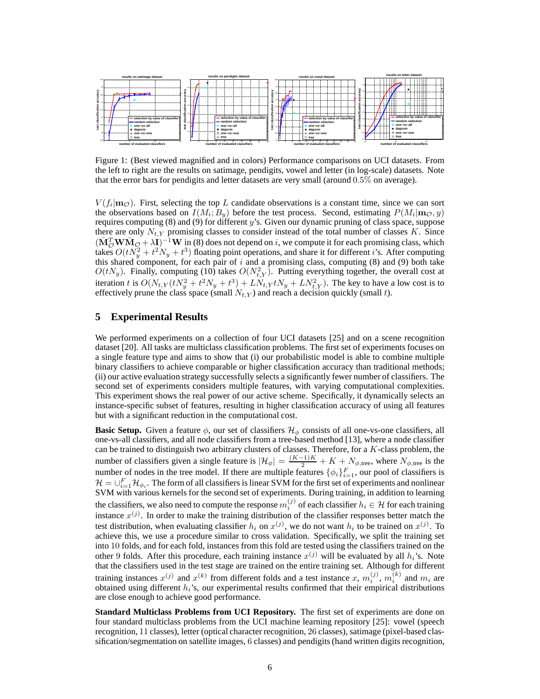

Figure 1: (Best viewed magnified and in colors) Performance comparisons on UCI datasets. From the left to right are the results on satimage, pendigits, vowel and letter (in log-scale) datasets. Note that the error bars for pendigits and letter datasets are very small (around 0.5% on average).

 $V(f_i | \mathbf{m}_{\mathcal{O}})$ . First, selecting the top L candidate observations is a constant time, since we can sort the observations based on  $I(M_i; B_y)$  before the test process. Second, estimating  $P(M_i | \mathbf{m}_{\mathcal{O}}, y)$ requires computing  $(8)$  and  $(9)$  for different y's. Given our dynamic pruning of class space, suppose there are only  $N_{t,Y}$  promising classes to consider instead of the total number of classes K. Since  $(\bar{M}_{\mathcal{O}}^T \mathbf{W} \bar{M}_{\mathcal{O}} + \lambda \mathbf{I})^{-1} \mathbf{W}$  in (8) does not depend on i, we compute it for each promising class, which takes  $O(tN_y^2 + t^2N_y + t^3)$  floating point operations, and share it for different *i*'s. After computing this shared component, for each pair of  $i$  and a promising class, computing (8) and (9) both take  $O(tN_y)$ . Finally, computing (10) takes  $O(N_{t, Y}^2)$ . Putting everything together, the overall cost at iteration t is  $O(N_{t,Y}(tN_y^2 + t^2N_y + t^3) + LN_{t,Y}tN_y + LN_{t,Y}^2)$ . The key to have a low cost is to effectively prune the class space (small  $N_{t,Y}$ ) and reach a decision quickly (small t).

## **5 Experimental Results**

We performed experiments on a collection of four UCI datasets [25] and on a scene recognition dataset [20]. All tasks are multiclass classification problems. The first set of experiments focuses on a single feature type and aims to show that (i) our probabilistic model is able to combine multiple binary classifiers to achieve comparable or higher classification accuracy than traditional methods; (ii) our active evaluation strategy successfully selects a significantly fewer number of classifiers. The second set of experiments considers multiple features, with varying computational complexities. This experiment shows the real power of our active scheme. Specifically, it dynamically selects an instance-specific subset of features, resulting in higher classification accuracy of using all features but with a significant reduction in the computational cost.

**Basic Setup.** Given a feature  $\phi$ , our set of classifiers  $\mathcal{H}_{\phi}$  consists of all one-vs-one classifiers, all one-vs-all classifiers, and all node classifiers from a tree-based method [13], where a node classifier can be trained to distinguish two arbitrary clusters of classes. Therefore, for a K-class problem, the number of classifiers given a single feature is  $|\mathcal{H}_{\phi}| = \frac{(K-1)K}{2} + K + N_{\phi,\text{tree}}$ , where  $N_{\phi,\text{tree}}$  is the number of nodes in the tree model. If there are multiple features  $\{\phi_i\}_{i=1}^F$ , our pool of classifiers is  $\mathcal{H}=\cup_{i=1}^F\mathcal{H}_{\phi_i}.$  The form of all classifiers is linear SVM for the first set of experiments and nonlinear SVM with various kernels for the second set of experiments. During training, in addition to learning the classifiers, we also need to compute the response  $m_i^{(j)}$  of each classifier  $h_i \in \mathcal{H}$  for each training instance  $x^{(j)}$ . In order to make the training distribution of the classifier responses better match the test distribution, when evaluating classifier  $h_i$  on  $x^{(j)}$ , we do not want  $h_i$  to be trained on  $x^{(j)}$ . To achieve this, we use a procedure similar to cross validation. Specifically, we split the training set into 10 folds, and for each fold, instances from this fold are tested using the classifiers trained on the other 9 folds. After this procedure, each training instance  $x^{(j)}$  will be evaluated by all  $h_i$ 's. Note that the classifiers used in the test stage are trained on the entire training set. Although for different training instances  $x^{(j)}$  and  $x^{(k)}$  from different folds and a test instance x,  $m_i^{(j)}$  $\binom{j}{i},\,m_i^{(k)}$  $i^{(k)}$  and  $m_i$  are obtained using different  $h_i$ 's, our experimental results confirmed that their empirical distributions are close enough to achieve good performance.

**Standard Multiclass Problems from UCI Repository.** The first set of experiments are done on four standard multiclass problems from the UCI machine learning repository [25]: vowel (speech recognition, 11 classes), letter (optical character recognition, 26 classes), satimage (pixel-based classification/segmentation on satellite images, 6 classes) and pendigits (hand written digits recognition,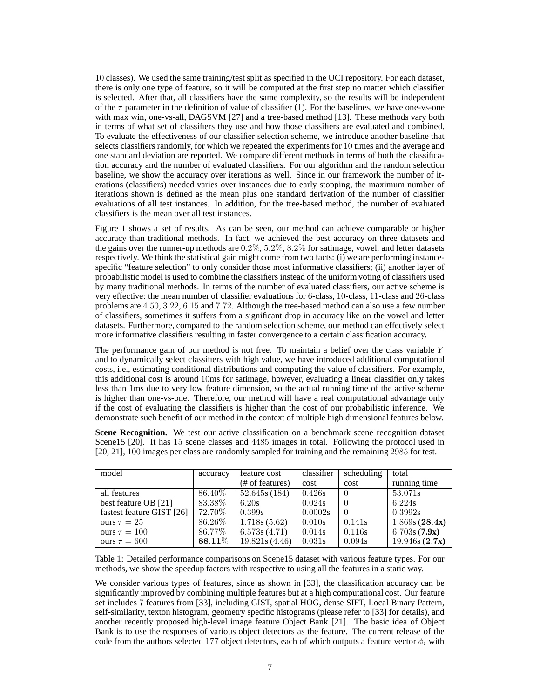10 classes). We used the same training/test split as specified in the UCI repository. For each dataset, there is only one type of feature, so it will be computed at the first step no matter which classifier is selected. After that, all classifiers have the same complexity, so the results will be independent of the  $\tau$  parameter in the definition of value of classifier (1). For the baselines, we have one-vs-one with max win, one-vs-all, DAGSVM [27] and a tree-based method [13]. These methods vary both in terms of what set of classifiers they use and how those classifiers are evaluated and combined. To evaluate the effectiveness of our classifier selection scheme, we introduce another baseline that selects classifiers randomly, for which we repeated the experiments for 10 times and the average and one standard deviation are reported. We compare different methods in terms of both the classification accuracy and the number of evaluated classifiers. For our algorithm and the random selection baseline, we show the accuracy over iterations as well. Since in our framework the number of iterations (classifiers) needed varies over instances due to early stopping, the maximum number of iterations shown is defined as the mean plus one standard derivation of the number of classifier evaluations of all test instances. In addition, for the tree-based method, the number of evaluated classifiers is the mean over all test instances.

Figure 1 shows a set of results. As can be seen, our method can achieve comparable or higher accuracy than traditional methods. In fact, we achieved the best accuracy on three datasets and the gains over the runner-up methods are 0.2%, 5.2%, 8.2% for satimage, vowel, and letter datasets respectively. We think the statistical gain might come from two facts: (i) we are performing instancespecific "feature selection" to only consider those most informative classifiers; (ii) another layer of probabilistic model is used to combine the classifiers instead of the uniform voting of classifiers used by many traditional methods. In terms of the number of evaluated classifiers, our active scheme is very effective: the mean number of classifier evaluations for 6-class, 10-class, 11-class and 26-class problems are 4.50, 3.22, 6.15 and 7.72. Although the tree-based method can also use a few number of classifiers, sometimes it suffers from a significant drop in accuracy like on the vowel and letter datasets. Furthermore, compared to the random selection scheme, our method can effectively select more informative classifiers resulting in faster convergence to a certain classification accuracy.

The performance gain of our method is not free. To maintain a belief over the class variable Y and to dynamically select classifiers with high value, we have introduced additional computational costs, i.e., estimating conditional distributions and computing the value of classifiers. For example, this additional cost is around 10ms for satimage, however, evaluating a linear classifier only takes less than 1ms due to very low feature dimension, so the actual running time of the active scheme is higher than one-vs-one. Therefore, our method will have a real computational advantage only if the cost of evaluating the classifiers is higher than the cost of our probabilistic inference. We demonstrate such benefit of our method in the context of multiple high dimensional features below.

Scene Recognition. We test our active classification on a benchmark scene recognition dataset Scene15 [20]. It has 15 scene classes and 4485 images in total. Following the protocol used in [20, 21], 100 images per class are randomly sampled for training and the remaining 2985 for test.

| model                     | accuracy | feature cost    | classifier | scheduling       | total         |
|---------------------------|----------|-----------------|------------|------------------|---------------|
|                           |          | (# of features) | cost       | cost             | running time  |
| all features              | 86.40%   | 52.645s(184)    | 0.426s     | ()               | 53.071s       |
| best feature OB [21]      | 83.38%   | 6.20s           | 0.024s     | $\left( \right)$ | 6.224s        |
| fastest feature GIST [26] | 72.70%   | 0.399s          | 0.0002s    | $\Omega$         | 0.3992s       |
| ours $\tau = 25$          | 86.26%   | 1.718s(5.62)    | 0.010s     | 0.141s           | 1.869s(28.4x) |
| ours $\tau = 100$         | 86.77%   | 6.573s(4.71)    | 0.014s     | 0.116s           | 6.703s(7.9x)  |
| ours $\tau = 600$         | 88.11%   | 19.821s (4.46)  | 0.031s     | 0.094s           | 19.946s(2.7x) |

Table 1: Detailed performance comparisons on Scene15 dataset with various feature types. For our methods, we show the speedup factors with respective to using all the features in a static way.

We consider various types of features, since as shown in [33], the classification accuracy can be significantly improved by combining multiple features but at a high computational cost. Our feature set includes 7 features from [33], including GIST, spatial HOG, dense SIFT, Local Binary Pattern, self-similarity, texton histogram, geometry specific histograms (please refer to [33] for details), and another recently proposed high-level image feature Object Bank [21]. The basic idea of Object Bank is to use the responses of various object detectors as the feature. The current release of the code from the authors selected 177 object detectors, each of which outputs a feature vector  $\phi_i$  with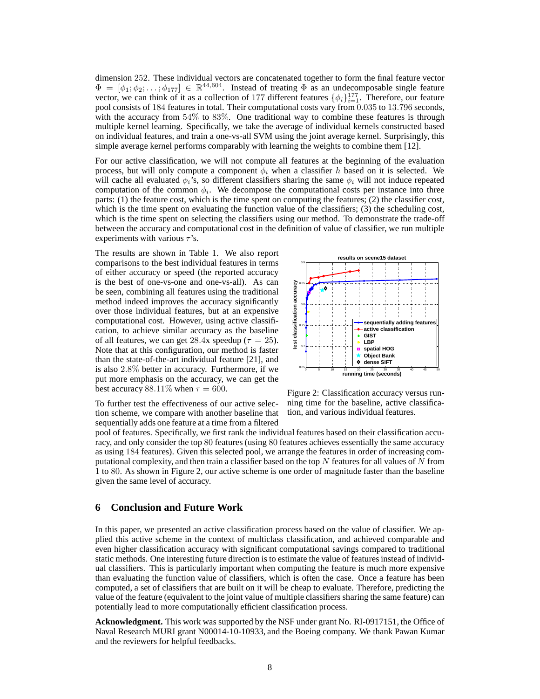dimension 252. These individual vectors are concatenated together to form the final feature vector  $\Phi = [\phi_1; \phi_2; \dots; \phi_{177}] \in \mathbb{R}^{44,604}$ . Instead of treating  $\Phi$  as an undecomposable single feature vector, we can think of it as a collection of 177 different features  $\{\phi_i\}_{i=1}^{177}$ . Therefore, our feature pool consists of 184 features in total. Their computational costs vary from 0.035 to 13.796 seconds, with the accuracy from 54% to 83%. One traditional way to combine these features is through multiple kernel learning. Specifically, we take the average of individual kernels constructed based on individual features, and train a one-vs-all SVM using the joint average kernel. Surprisingly, this simple average kernel performs comparably with learning the weights to combine them [12].

For our active classification, we will not compute all features at the beginning of the evaluation process, but will only compute a component  $\phi_i$  when a classifier h based on it is selected. We will cache all evaluated  $\phi_i$ 's, so different classifiers sharing the same  $\phi_i$  will not induce repeated computation of the common  $\phi_i$ . We decompose the computational costs per instance into three parts: (1) the feature cost, which is the time spent on computing the features; (2) the classifier cost, which is the time spent on evaluating the function value of the classifiers; (3) the scheduling cost, which is the time spent on selecting the classifiers using our method. To demonstrate the trade-off between the accuracy and computational cost in the definition of value of classifier, we run multiple experiments with various  $\tau$ 's.

The results are shown in Table 1. We also report comparisons to the best individual features in terms of either accuracy or speed (the reported accuracy is the best of one-vs-one and one-vs-all). As can be seen, combining all features using the traditional method indeed improves the accuracy significantly over those individual features, but at an expensive computational cost. However, using active classification, to achieve similar accuracy as the baseline of all features, we can get 28.4x speedup ( $\tau = 25$ ). Note that at this configuration, our method is faster than the state-of-the-art individual feature [21], and is also 2.8% better in accuracy. Furthermore, if we put more emphasis on the accuracy, we can get the best accuracy 88.11% when  $\tau = 600$ .



To further test the effectiveness of our active selection scheme, we compare with another baseline that sequentially adds one feature at a time from a filtered

Figure 2: Classification accuracy versus running time for the baseline, active classification, and various individual features.

pool of features. Specifically, we first rank the individual features based on their classification accuracy, and only consider the top 80 features (using 80 features achieves essentially the same accuracy as using 184 features). Given this selected pool, we arrange the features in order of increasing computational complexity, and then train a classifier based on the top  $N$  features for all values of  $N$  from 1 to 80. As shown in Figure 2, our active scheme is one order of magnitude faster than the baseline given the same level of accuracy.

## **6 Conclusion and Future Work**

In this paper, we presented an active classification process based on the value of classifier. We applied this active scheme in the context of multiclass classification, and achieved comparable and even higher classification accuracy with significant computational savings compared to traditional static methods. One interesting future direction is to estimate the value of features instead of individual classifiers. This is particularly important when computing the feature is much more expensive than evaluating the function value of classifiers, which is often the case. Once a feature has been computed, a set of classifiers that are built on it will be cheap to evaluate. Therefore, predicting the value of the feature (equivalent to the joint value of multiple classifiers sharing the same feature) can potentially lead to more computationally efficient classification process.

**Acknowledgment.** This work was supported by the NSF under grant No. RI-0917151, the Office of Naval Research MURI grant N00014-10-10933, and the Boeing company. We thank Pawan Kumar and the reviewers for helpful feedbacks.